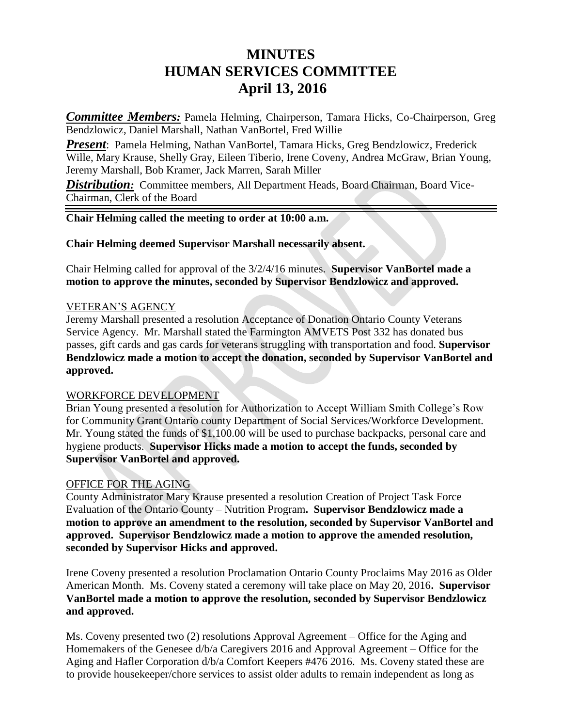# **MINUTES HUMAN SERVICES COMMITTEE April 13, 2016**

*Committee Members:* Pamela Helming, Chairperson, Tamara Hicks, Co-Chairperson, Greg Bendzlowicz, Daniel Marshall, Nathan VanBortel, Fred Willie

*Present*: Pamela Helming, Nathan VanBortel, Tamara Hicks, Greg Bendzlowicz, Frederick Wille, Mary Krause, Shelly Gray, Eileen Tiberio, Irene Coveny, Andrea McGraw, Brian Young, Jeremy Marshall, Bob Kramer, Jack Marren, Sarah Miller

**Distribution:** Committee members, All Department Heads, Board Chairman, Board Vice-Chairman, Clerk of the Board

## **Chair Helming called the meeting to order at 10:00 a.m.**

#### **Chair Helming deemed Supervisor Marshall necessarily absent.**

Chair Helming called for approval of the 3/2/4/16 minutes. **Supervisor VanBortel made a motion to approve the minutes, seconded by Supervisor Bendzlowicz and approved.**

#### VETERAN'S AGENCY

Jeremy Marshall presented a resolution Acceptance of Donation Ontario County Veterans Service Agency. Mr. Marshall stated the Farmington AMVETS Post 332 has donated bus passes, gift cards and gas cards for veterans struggling with transportation and food. **Supervisor Bendzlowicz made a motion to accept the donation, seconded by Supervisor VanBortel and approved.**

#### WORKFORCE DEVELOPMENT

Brian Young presented a resolution for Authorization to Accept William Smith College's Row for Community Grant Ontario county Department of Social Services/Workforce Development. Mr. Young stated the funds of \$1,100.00 will be used to purchase backpacks, personal care and hygiene products. **Supervisor Hicks made a motion to accept the funds, seconded by Supervisor VanBortel and approved.**

#### OFFICE FOR THE AGING

County Administrator Mary Krause presented a resolution Creation of Project Task Force Evaluation of the Ontario County – Nutrition Program**. Supervisor Bendzlowicz made a motion to approve an amendment to the resolution, seconded by Supervisor VanBortel and approved. Supervisor Bendzlowicz made a motion to approve the amended resolution, seconded by Supervisor Hicks and approved.**

Irene Coveny presented a resolution Proclamation Ontario County Proclaims May 2016 as Older American Month. Ms. Coveny stated a ceremony will take place on May 20, 2016**. Supervisor VanBortel made a motion to approve the resolution, seconded by Supervisor Bendzlowicz and approved.**

Ms. Coveny presented two (2) resolutions Approval Agreement – Office for the Aging and Homemakers of the Genesee d/b/a Caregivers 2016 and Approval Agreement – Office for the Aging and Hafler Corporation d/b/a Comfort Keepers #476 2016. Ms. Coveny stated these are to provide housekeeper/chore services to assist older adults to remain independent as long as